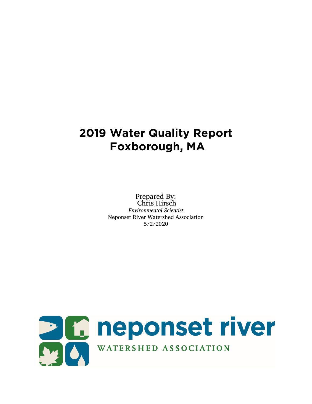# **2019 Water Quality Report Foxborough, MA**

Prepared By: Chris Hirsch *Environmental Scientist* Neponset River Watershed Association 5/2/2020

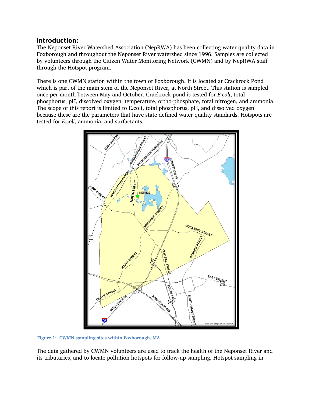#### Introduction:

The Neponset River Watershed Association (NepRWA) has been collecting water quality data in Foxborough and throughout the Neponset River watershed since 1996. Samples are collected by volunteers through the Citizen Water Monitoring Network (CWMN) and by NepRWA staff through the Hotspot program.

There is one CWMN station within the town of Foxborough. It is located at Crackrock Pond which is part of the main stem of the Neponset River, at North Street. This station is sampled once per month between May and October. Crackrock pond is tested for *E.coli*, total phosphorus, pH, dissolved oxygen, temperature, ortho-phosphate, total nitrogen, and ammonia. The scope of this report is limited to E.coli, total phosphorus, pH, and dissolved oxygen because these are the parameters that have state defined water quality standards. Hotspots are tested for *E.coli*, ammonia, and surfactants.



**Figure 1: CWMN sampling sites within Foxborough, MA**

The data gathered by CWMN volunteers are used to track the health of the Neponset River and its tributaries, and to locate pollution hotspots for follow-up sampling. Hotspot sampling in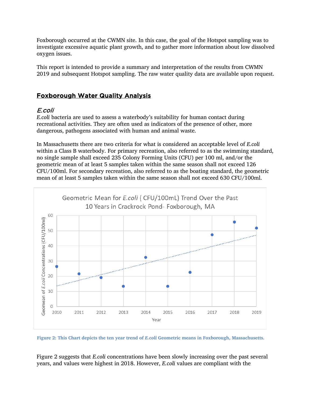Foxborough occurred at the CWMN site. In this case, the goal of the Hotspot sampling was to investigate excessive aquatic plant growth, and to gather more information about low dissolved oxygen issues.

This report is intended to provide a summary and interpretation of the results from CWMN 2019 and subsequent Hotspot sampling. The raw water quality data are available upon request.

### Foxborough Water Quality Analysis

#### E.coli

*E.coli* bacteria are used to assess a waterbody's suitability for human contact during recreational activities. They are often used as indicators of the presence of other, more dangerous, pathogens associated with human and animal waste.

In Massachusetts there are two criteria for what is considered an acceptable level of *E.coli* within a Class B waterbody. For primary recreation, also referred to as the swimming standard, no single sample shall exceed 235 Colony Forming Units (CFU) per 100 ml, and/or the geometric mean of at least 5 samples taken within the same season shall not exceed 126 CFU/100ml. For secondary recreation, also referred to as the boating standard, the geometric mean of at least 5 samples taken within the same season shall not exceed 630 CFU/100ml.



Figure 2: This Chart depicts the ten year trend of *E.coli* Geometric means in Foxborough, Massachusetts.

Figure 2 suggests that *E.coli* concentrations have been slowly increasing over the past several years, and values were highest in 2018. However, *E.coli* values are compliant with the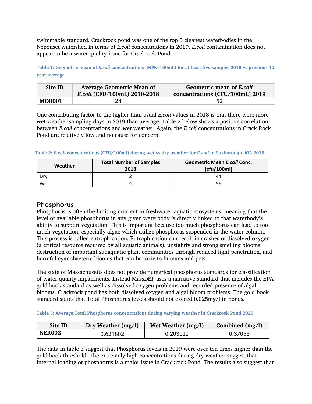swimmable standard. Crackrock pond was one of the top 5 cleanest waterbodies in the Neponset watershed in terms of *E.coli* concentrations in 2019. *E.coli* contamination does not appear to be a water quality issue for Crackrock Pond.

**Table 1: Geometric mean of** *E.coli* **concentrations (MPN/100mL) for at least five samples 2018 vs previous 10 year average**

| Site ID | <b>Average Geometric Mean of</b><br>E.coli (CFU/100mL) 2010-2018 | Geometric mean of E.coli<br>concentrations (CFU/100mL) 2019 |
|---------|------------------------------------------------------------------|-------------------------------------------------------------|
| MOB001  | 28                                                               | 52                                                          |

One contributing factor to the higher than usual *E.coli* values in 2018 is that there were more wet weather sampling days in 2019 than average. Table 2 below shows a positive correlation between *E.coli* concentrations and wet weather. Again, the *E.coli* concentrations in Crack Rock Pond are relatively low and no cause for concern.

**Table 2:** *E.coli* **concentrations (CFU/100ml) during wet vs dry weather for** *E.coli* **in Foxborough, MA 2019**

| Weather | <b>Total Number of Samples</b><br>2018 | <b>Geometric Mean E.coli Conc.</b><br>(cfu/100ml) |
|---------|----------------------------------------|---------------------------------------------------|
| Drv.    |                                        | 44                                                |
| Wet     |                                        | 56                                                |

#### **Phosphorus**

Phosphorus is often the limiting nutrient in freshwater aquatic ecosystems, meaning that the level of available phosphorus in any given waterbody is directly linked to that waterbody's ability to support vegetation. This is important because too much phosphorus can lead to too much vegetation; especially algae which utilize phosphorus suspended in the water column. This process is called eutrophication. Eutrophication can result in crashes of dissolved oxygen (a critical resource required by all aquatic animals), unsightly and strong smelling blooms, destruction of important subaquatic plant communities through reduced light penetration, and harmful cyanobacteria blooms that can be toxic to humans and pets.

The state of Massachusetts does not provide numerical phosphorus standards for classification of water quality impairments. Instead MassDEP uses a narrative standard that includes the EPA gold book standard as well as dissolved oxygen problems and recorded presence of algal blooms. Crackrock pond has both dissolved oxygen and algal bloom problems. The gold book standard states that Total Phosphorus levels should not exceed 0.025mg/l in ponds.

**Table 3: Average Total Phosphorus concentrations during varying weather in Crackrock Pond 2020**

| Site ID       | Dry Weather $(mg/l)$ | Wet Weather $(mg/l)$ | Combined $(mg/l)$ |
|---------------|----------------------|----------------------|-------------------|
| <b>NER002</b> | 0.621802             | 0.203011             | 0.37053           |

The data in table 3 suggest that Phosphorus levels in 2019 were over ten times higher than the gold book threshold. The extremely high concentrations during dry weather suggest that internal loading of phosphorus is a major issue in Crackrock Pond. The results also suggest that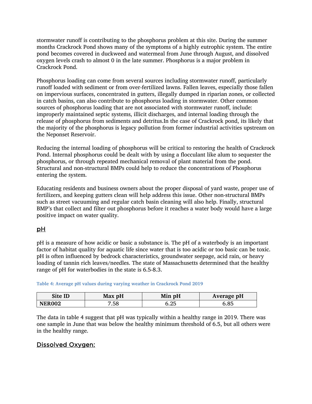stormwater runoff is contributing to the phosphorus problem at this site. During the summer months Crackrock Pond shows many of the symptoms of a highly eutrophic system. The entire pond becomes covered in duckweed and watermeal from June through August, and dissolved oxygen levels crash to almost 0 in the late summer. Phosphorus is a major problem in Crackrock Pond.

Phosphorus loading can come from several sources including stormwater runoff, particularly runoff loaded with sediment or from over-fertilized lawns. Fallen leaves, especially those fallen on impervious surfaces, concentrated in gutters, illegally dumped in riparian zones, or collected in catch basins, can also contribute to phosphorus loading in stormwater. Other common sources of phosphorus loading that are not associated with stormwater runoff, include: improperly maintained septic systems, illicit discharges, and internal loading through the release of phosphorus from sediments and detritus.In the case of Crackrock pond, its likely that the majority of the phosphorus is legacy pollution from former industrial activities upstream on the Neponset Reservoir.

Reducing the internal loading of phosphorus will be critical to restoring the health of Crackrock Pond. Internal phosphorus could be dealt with by using a flocculant like alum to sequester the phosphorus, or through repeated mechanical removal of plant material from the pond. Structural and non-structural BMPs could help to reduce the concentrations of Phosphorus entering the system.

Educating residents and business owners about the proper disposal of yard waste, proper use of fertilizers, and keeping gutters clean will help address this issue. Other non-structural BMPs such as street vacuuming and regular catch basin cleaning will also help. Finally, structural BMP's that collect and filter out phosphorus before it reaches a water body would have a large positive impact on water quality.

# pH

pH is a measure of how acidic or basic a substance is. The pH of a waterbody is an important factor of habitat quality for aquatic life since water that is too acidic or too basic can be toxic. pH is often influenced by bedrock characteristics, groundwater seepage, acid rain, or heavy loading of tannin rich leaves/needles. The state of Massachusetts determined that the healthy range of pH for waterbodies in the state is 6.5-8.3.

**Table 4: Average pH values during varying weather in Crackrock Pond 2019**

| Site ID       | Max pH | Min pH | Average pH |
|---------------|--------|--------|------------|
| <b>NER002</b> | .58    | 5.25   | .85 د      |

The data in table 4 suggest that pH was typically within a healthy range in 2019. There was one sample in June that was below the healthy minimum threshold of 6.5, but all others were in the healthy range.

# Dissolved Oxygen: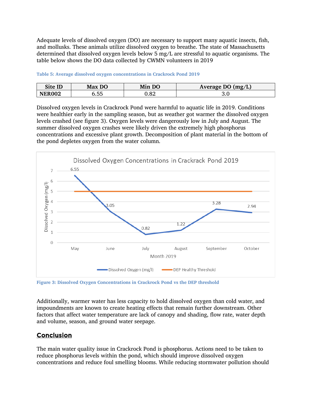Adequate levels of dissolved oxygen (DO) are necessary to support many aquatic insects, fish, and mollusks. These animals utilize dissolved oxygen to breathe. The state of Massachusetts determined that dissolved oxygen levels below 5 mg/L are stressful to aquatic organisms. The table below shows the DO data collected by CWMN volunteers in 2019

| Site ID       | Max DO      | DO<br>Mın | Average DO (mg/L) |
|---------------|-------------|-----------|-------------------|
| <b>NEROO?</b> | --<br>,,,,, | റ<br>∪.o∠ | J.U               |

**Table 5: Average dissolved oxygen concentrations in Crackrock Pond 2019**

Dissolved oxygen levels in Crackrock Pond were harmful to aquatic life in 2019. Conditions were healthier early in the sampling season, but as weather got warmer the dissolved oxygen levels crashed (see figure 3). Oxygen levels were dangerously low in July and August. The summer dissolved oxygen crashes were likely driven the extremely high phosphorus concentrations and excessive plant growth. Decomposition of plant material in the bottom of the pond depletes oxygen from the water column.



**Figure 3: Dissolved Oxygen Concentrations in Crackrock Pond vs the DEP threshold**

Additionally, warmer water has less capacity to hold dissolved oxygen than cold water, and impoundments are known to create heating effects that remain further downstream. Other factors that affect water temperature are lack of canopy and shading, flow rate, water depth and volume, season, and ground water seepage.

# **Conclusion**

The main water quality issue in Crackrock Pond is phosphorus. Actions need to be taken to reduce phosphorus levels within the pond, which should improve dissolved oxygen concentrations and reduce foul smelling blooms. While reducing stormwater pollution should